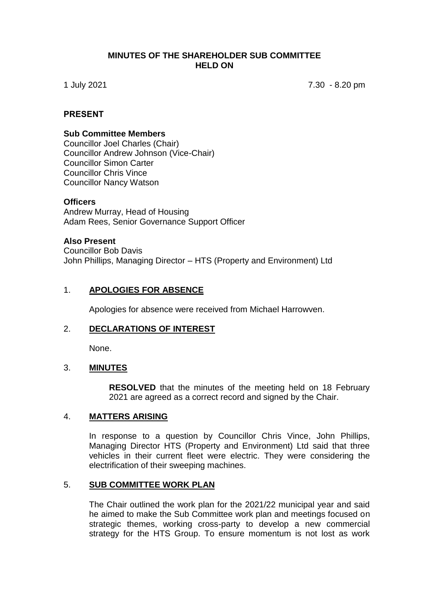#### **MINUTES OF THE SHAREHOLDER SUB COMMITTEE HELD ON**

1 July 2021 7.30 - 8.20 pm

## **PRESENT**

#### **Sub Committee Members**

Councillor Joel Charles (Chair) Councillor Andrew Johnson (Vice-Chair) Councillor Simon Carter Councillor Chris Vince Councillor Nancy Watson

#### **Officers**

Andrew Murray, Head of Housing Adam Rees, Senior Governance Support Officer

#### **Also Present**

Councillor Bob Davis John Phillips, Managing Director – HTS (Property and Environment) Ltd

## 1. **APOLOGIES FOR ABSENCE**

Apologies for absence were received from Michael Harrowven.

# 2. **DECLARATIONS OF INTEREST**

None.

## 3. **MINUTES**

**RESOLVED** that the minutes of the meeting held on 18 February 2021 are agreed as a correct record and signed by the Chair.

#### 4. **MATTERS ARISING**

In response to a question by Councillor Chris Vince, John Phillips, Managing Director HTS (Property and Environment) Ltd said that three vehicles in their current fleet were electric. They were considering the electrification of their sweeping machines.

## 5. **SUB COMMITTEE WORK PLAN**

The Chair outlined the work plan for the 2021/22 municipal year and said he aimed to make the Sub Committee work plan and meetings focused on strategic themes, working cross-party to develop a new commercial strategy for the HTS Group. To ensure momentum is not lost as work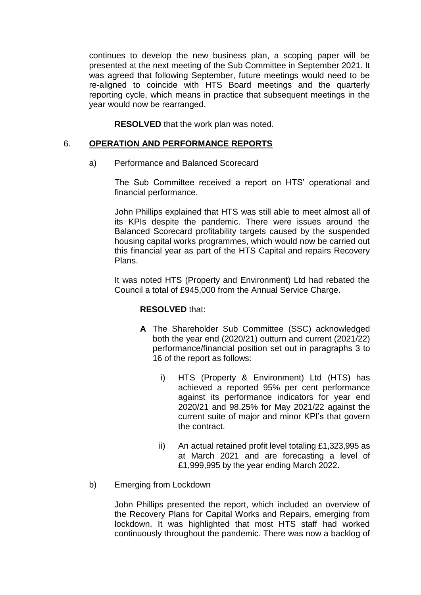continues to develop the new business plan, a scoping paper will be presented at the next meeting of the Sub Committee in September 2021. It was agreed that following September, future meetings would need to be re-aligned to coincide with HTS Board meetings and the quarterly reporting cycle, which means in practice that subsequent meetings in the year would now be rearranged.

**RESOLVED** that the work plan was noted.

# 6. **OPERATION AND PERFORMANCE REPORTS**

a) Performance and Balanced Scorecard

The Sub Committee received a report on HTS' operational and financial performance.

John Phillips explained that HTS was still able to meet almost all of its KPIs despite the pandemic. There were issues around the Balanced Scorecard profitability targets caused by the suspended housing capital works programmes, which would now be carried out this financial year as part of the HTS Capital and repairs Recovery Plans.

It was noted HTS (Property and Environment) Ltd had rebated the Council a total of £945,000 from the Annual Service Charge.

## **RESOLVED** that:

- **A** The Shareholder Sub Committee (SSC) acknowledged both the year end (2020/21) outturn and current (2021/22) performance/financial position set out in paragraphs 3 to 16 of the report as follows:
	- i) HTS (Property & Environment) Ltd (HTS) has achieved a reported 95% per cent performance against its performance indicators for year end 2020/21 and 98.25% for May 2021/22 against the current suite of major and minor KPI's that govern the contract.
	- ii) An actual retained profit level totaling £1,323,995 as at March 2021 and are forecasting a level of £1,999,995 by the year ending March 2022.
- b) Emerging from Lockdown

John Phillips presented the report, which included an overview of the Recovery Plans for Capital Works and Repairs, emerging from lockdown. It was highlighted that most HTS staff had worked continuously throughout the pandemic. There was now a backlog of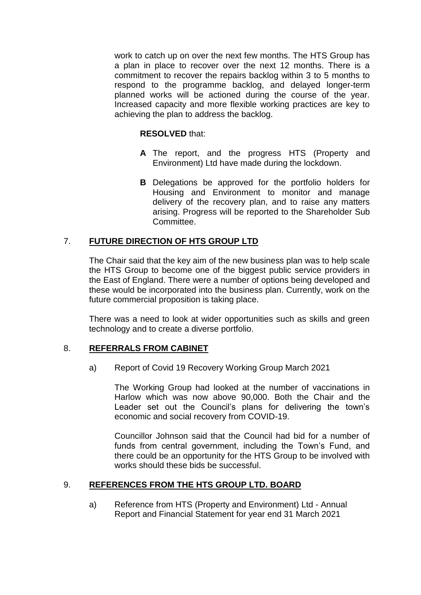work to catch up on over the next few months. The HTS Group has a plan in place to recover over the next 12 months. There is a commitment to recover the repairs backlog within 3 to 5 months to respond to the programme backlog, and delayed longer-term planned works will be actioned during the course of the year. Increased capacity and more flexible working practices are key to achieving the plan to address the backlog.

## **RESOLVED** that:

- **A** The report, and the progress HTS (Property and Environment) Ltd have made during the lockdown.
- **B** Delegations be approved for the portfolio holders for Housing and Environment to monitor and manage delivery of the recovery plan, and to raise any matters arising. Progress will be reported to the Shareholder Sub Committee.

# 7. **FUTURE DIRECTION OF HTS GROUP LTD**

The Chair said that the key aim of the new business plan was to help scale the HTS Group to become one of the biggest public service providers in the East of England. There were a number of options being developed and these would be incorporated into the business plan. Currently, work on the future commercial proposition is taking place.

There was a need to look at wider opportunities such as skills and green technology and to create a diverse portfolio.

## 8. **REFERRALS FROM CABINET**

a) Report of Covid 19 Recovery Working Group March 2021

The Working Group had looked at the number of vaccinations in Harlow which was now above 90,000. Both the Chair and the Leader set out the Council's plans for delivering the town's economic and social recovery from COVID-19.

Councillor Johnson said that the Council had bid for a number of funds from central government, including the Town's Fund, and there could be an opportunity for the HTS Group to be involved with works should these bids be successful.

## 9. **REFERENCES FROM THE HTS GROUP LTD. BOARD**

a) Reference from HTS (Property and Environment) Ltd - Annual Report and Financial Statement for year end 31 March 2021